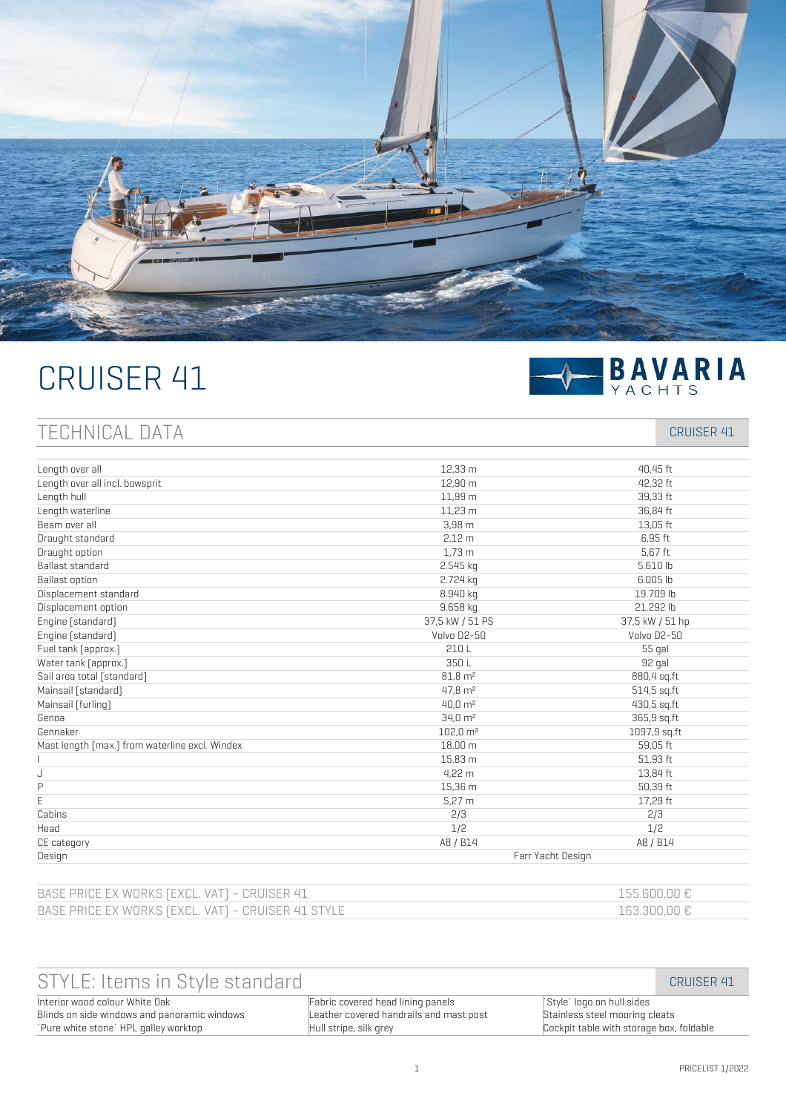

# CRUISER 41



# TECHNICAL DATA CRUISER 41

| Length over all                                | 12,33 m             | 40,45 ft        |
|------------------------------------------------|---------------------|-----------------|
| Length over all incl. bowsprit                 | 12.90 m             | 42,32 ft        |
| Length hull                                    | 11,99 m             | 39,33 ft        |
| Length waterline                               | 11.23 m             | 36.84 ft        |
| Beam over all                                  | $3,98$ m            | 13,05 ft        |
| Draught standard                               | 2.12 <sub>m</sub>   | 6.95 ft         |
| Draught option                                 | 1.73 <sub>m</sub>   | 5,67 ft         |
| Ballast standard                               | 2.545 kg            | 5.610 lb        |
| <b>Ballast option</b>                          | 2.724 kg            | 6.005 lb        |
| Displacement standard                          | 8.940 kg            | 19.709 lb       |
| Displacement option                            | 9.658 kg            | 21.292 lb       |
| Engine (standard)                              | 37,5 kW / 51 PS     | 37,5 kW / 51 hp |
| Engine [standard]                              | Volvo D2-50         | Volvo D2-50     |
| Fuel tank [approx.]                            | 210L                | 55 gal          |
| Water tank [approx.]                           | 350L                | 92 gal          |
| Sail area total (standard)                     | $81,8 \text{ m}^2$  | 880,4 sq.ft     |
| Mainsail [standard]                            | $47.8 \text{ m}^2$  | 514,5 sq.ft     |
| Mainsail [furling]                             | $40.0 \text{ m}^2$  | 430,5 sq.ft     |
| Genoa                                          | $34.0 \text{ m}^2$  | 365,9 sq.ft     |
| Gennaker                                       | $102.0 \text{ m}^2$ | 1097,9 sq.ft    |
| Mast length [max.] from waterline excl. Windex | 18.00 m             | 59,05 ft        |
|                                                | 15,83 m             | 51,93 ft        |
| J                                              | 4.22 m              | 13,84 ft        |
| P                                              | 15,36 m             | 50,39 ft        |
| E                                              | 5.27 m              | 17,29 ft        |
| Cabins                                         | 2/3                 | 2/3             |
| Head                                           | 1/2                 | 1/2             |
| CE category                                    | A8 / B14            | A8 / B14        |
| Design                                         | Farr Yacht Design   |                 |
|                                                |                     |                 |

| BASE PRICE EX WORKS (EXCL. VAT) - CRUISER 41       | $155.600.00 \text{ E}$    |
|----------------------------------------------------|---------------------------|
| BASE PRICE EX WORKS (EXCL, VAT) - CRUISER 41 STYLE | $163.300.00 \text{ } \in$ |

| STYLE: Items in Style standard               |                                         |                                          | CRUISER 41 |
|----------------------------------------------|-----------------------------------------|------------------------------------------|------------|
| Interior wood colour White Oak               | Fabric covered head lining panels       | Style` logo on hull sides                |            |
| Blinds on side windows and panoramic windows | Leather covered handrails and mast post | Stainless steel mooring cleats           |            |
| `Pure white stone`HPL galley worktop         | Hull stripe, silk grey                  | Cockpit table with storage box, foldable |            |
|                                              |                                         |                                          |            |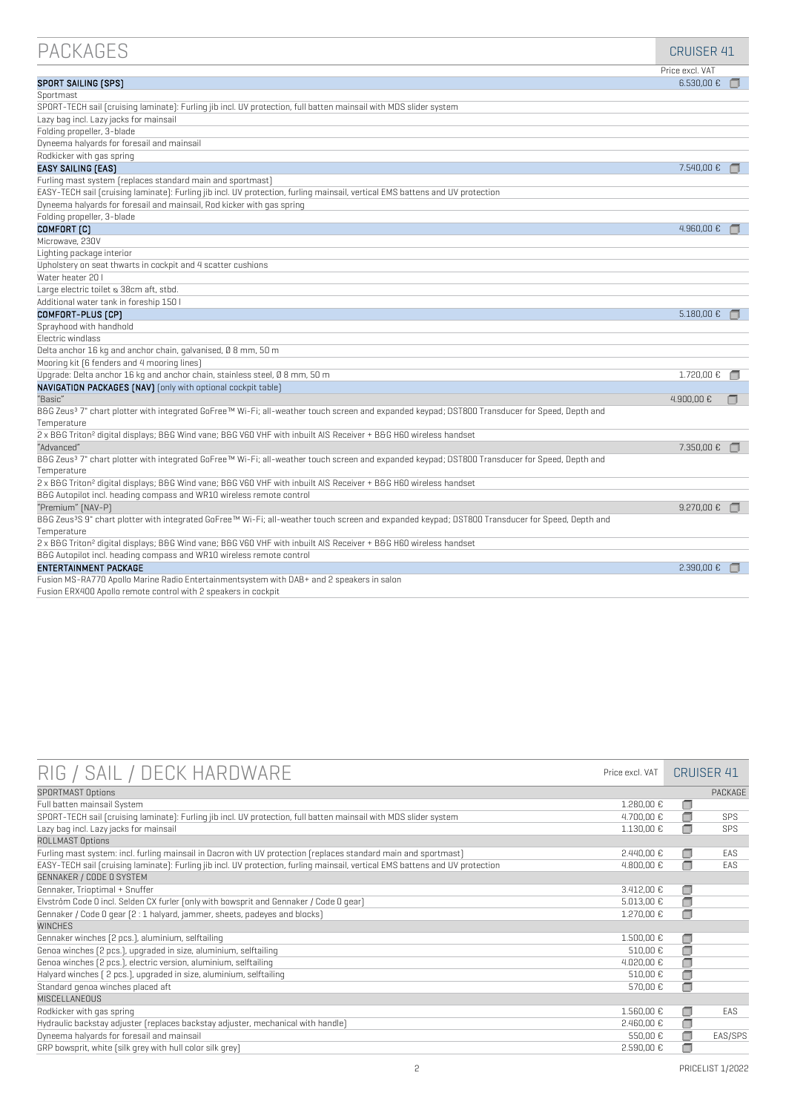| <b>PACKAGES</b>                                                                                                                                              | <b>CRUISER 41</b>   |  |
|--------------------------------------------------------------------------------------------------------------------------------------------------------------|---------------------|--|
|                                                                                                                                                              | Price excl. VAT     |  |
| SPORT SAILING [SPS]                                                                                                                                          | $6.530,00 \text{€}$ |  |
| Sportmast                                                                                                                                                    |                     |  |
| SPORT-TECH sail (cruising laminate): Furling jib incl. UV protection, full batten mainsail with MDS slider system                                            |                     |  |
| Lazy bag incl. Lazy jacks for mainsail                                                                                                                       |                     |  |
| Folding propeller, 3-blade                                                                                                                                   |                     |  |
| Dyneema halyards for foresail and mainsail                                                                                                                   |                     |  |
| Rodkicker with gas spring                                                                                                                                    |                     |  |
| <b>EASY SAILING (EAS)</b>                                                                                                                                    | 7.540,00 €          |  |
| Furling mast system (replaces standard main and sportmast)                                                                                                   |                     |  |
| EASY-TECH sail [cruising laminate]: Furling jib incl. UV protection, furling mainsail, vertical EMS battens and UV protection                                |                     |  |
| Dyneema halyards for foresail and mainsail, Rod kicker with gas spring                                                                                       |                     |  |
| Folding propeller, 3-blade                                                                                                                                   |                     |  |
| COMFORT <sub>[C]</sub>                                                                                                                                       | 4.960,00€           |  |
| Microwave, 230V                                                                                                                                              |                     |  |
| Lighting package interior                                                                                                                                    |                     |  |
| Upholstery on seat thwarts in cockpit and 4 scatter cushions                                                                                                 |                     |  |
| Water heater 20 I                                                                                                                                            |                     |  |
| Large electric toilet & 38cm aft, stbd.                                                                                                                      |                     |  |
| Additional water tank in foreship 150 l                                                                                                                      |                     |  |
| COMFORT-PLUS [CP]                                                                                                                                            | 5.180,00 €          |  |
| Sprayhood with handhold                                                                                                                                      |                     |  |
| Electric windlass                                                                                                                                            |                     |  |
| Delta anchor 16 kg and anchor chain, galvanised, 0 8 mm, 50 m                                                                                                |                     |  |
| Mooring kit [6 fenders and 4 mooring lines]                                                                                                                  |                     |  |
| Upgrade: Delta anchor 16 kg and anchor chain, stainless steel, 0 8 mm, 50 m                                                                                  | 1.720,00 €          |  |
| NAVIGATION PACKAGES [NAV] [only with optional cockpit table]                                                                                                 |                     |  |
| "Basic"                                                                                                                                                      | 4.900.00 €          |  |
| B&G Zeus <sup>3</sup> 7" chart plotter with integrated GoFree™ Wi-Fi; all-weather touch screen and expanded keypad; DST800 Transducer for Speed, Depth and   |                     |  |
| Temperature                                                                                                                                                  |                     |  |
| 2 x B&G Triton <sup>2</sup> digital displays; B&G Wind vane; B&G V60 VHF with inbuilt AIS Receiver + B&G H60 wireless handset                                |                     |  |
| "Advanced"                                                                                                                                                   | 7.350,00 €          |  |
| B&G Zeus <sup>3</sup> 7" chart plotter with integrated GoFree™ Wi-Fi; all-weather touch screen and expanded keypad; DST800 Transducer for Speed, Depth and   |                     |  |
| Temperature                                                                                                                                                  |                     |  |
| 2 x B&G Triton <sup>2</sup> digital displays; B&G Wind vane; B&G V60 VHF with inbuilt AIS Receiver + B&G H60 wireless handset                                |                     |  |
| B&G Autopilot incl. heading compass and WR10 wireless remote control                                                                                         |                     |  |
| "Premium" [NAV-P]                                                                                                                                            | $9.270,00$ €        |  |
| B&G Zeus <sup>3</sup> S 9" chart plotter with integrated GoFree™ Wi-Fi; all-weather touch screen and expanded keypad; DST800 Transducer for Speed, Depth and |                     |  |
| Temperature                                                                                                                                                  |                     |  |
| 2 x B&G Triton <sup>2</sup> digital displays; B&G Wind vane; B&G V60 VHF with inbuilt AIS Receiver + B&G H60 wireless handset                                |                     |  |
| B&G Autopilot incl. heading compass and WR10 wireless remote control                                                                                         |                     |  |
| <b>ENTERTAINMENT PACKAGE</b>                                                                                                                                 | 2.390,00 €          |  |
| Fusion MS-RA770 Apollo Marine Radio Entertainmentsystem with DAB+ and 2 speakers in salon                                                                    |                     |  |
| Fusion ERX400 Apollo remote control with 2 speakers in cockpit                                                                                               |                     |  |

| RIG / SAIL / DECK HARDWARE                                                                                                    | Price excl. VAT      |        | <b>CRUISER 41</b> |
|-------------------------------------------------------------------------------------------------------------------------------|----------------------|--------|-------------------|
| <b>SPORTMAST Options</b>                                                                                                      |                      |        | PACKAGE           |
| Full batten mainsail System                                                                                                   | 1.280,00 €           | □      |                   |
| SPORT-TECH sail [cruising laminate]: Furling jib incl. UV protection, full batten mainsail with MDS slider system             | 4.700,00 €           | □      | <b>SPS</b>        |
| Lazy bag incl. Lazy jacks for mainsail                                                                                        | 1.130,00 €           | ∩      | <b>SPS</b>        |
| ROLLMAST Options                                                                                                              |                      |        |                   |
| Furling mast system: incl. furling mainsail in Dacron with UV protection [replaces standard main and sportmast]               | 2.440,00€            | □      | FAS               |
| EASY-TECH sail [cruising laminate]: Furling jib incl. UV protection, furling mainsail, vertical EMS battens and UV protection | 4.800,00€            | ∩      | <b>FAS</b>        |
| GENNAKER / CODE O SYSTEM                                                                                                      |                      |        |                   |
| Gennaker, Trioptimal + Snuffer                                                                                                | 3.412.00 €           | □      |                   |
| Elvström Code 0 incl. Selden CX furler (only with bowsprit and Gennaker / Code 0 qear)                                        | 5.013,00€            | €      |                   |
| Gennaker / Code O gear (2:1 halyard, jammer, sheets, padeyes and blocks)                                                      | $1.270,00$ €         | ۸      |                   |
| <b>WINCHES</b>                                                                                                                |                      |        |                   |
| Gennaker winches [2 pcs.], aluminium, selftailing                                                                             | $1.500,00 \text{ }€$ | €      |                   |
| Genoa winches [2 pcs.], upgraded in size, aluminium, selftailing                                                              | 510,00€              | ◘      |                   |
| Genoa winches [2 pcs.], electric version, aluminium, selftailing                                                              | 4.020,00€            | €      |                   |
| Halyard winches [ 2 pcs.], upgraded in size, aluminium, selftailing                                                           | 510,00€              | €      |                   |
| Standard genoa winches placed aft                                                                                             | 570,00 €             | €      |                   |
| MISCELLANEOUS                                                                                                                 |                      |        |                   |
| Rodkicker with gas spring                                                                                                     | 1.560,00 €           | □      | EAS               |
| Hydraulic backstay adjuster (replaces backstay adjuster, mechanical with handle)                                              | 2.460,00€            | $\Box$ |                   |
| Dyneema halyards for foresail and mainsail                                                                                    | 550,00€              | □      | EAS/SPS           |
| GRP bowsprit, white (silk grey with hull color silk grey)                                                                     | 2.590,00 €           | ∩      |                   |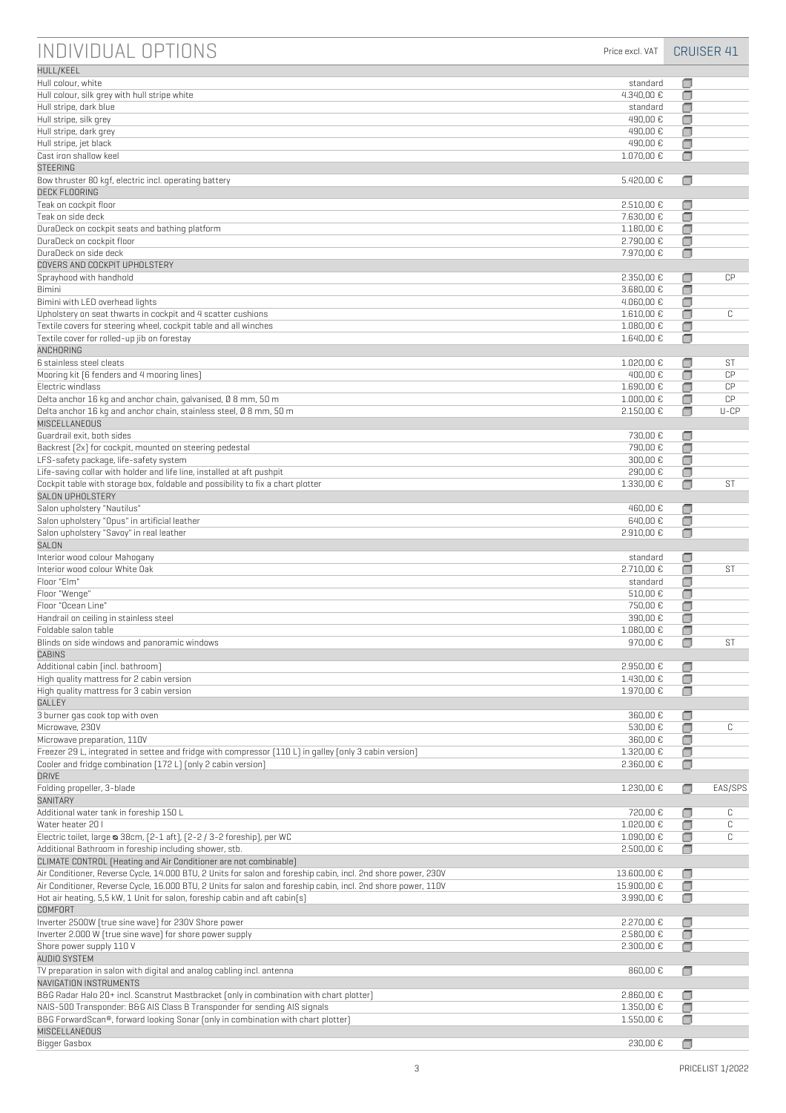| INDIVIDUAL OPTIONS                                                                                                                                                   | Price excl. VAT                    |             | <b>CRUISER 41</b> |
|----------------------------------------------------------------------------------------------------------------------------------------------------------------------|------------------------------------|-------------|-------------------|
| HULL/KEEL                                                                                                                                                            |                                    |             |                   |
| Hull colour, white                                                                                                                                                   | standard                           | □           |                   |
| Hull colour, silk grey with hull stripe white                                                                                                                        | 4.340,00 €                         | □           |                   |
| Hull stripe, dark blue                                                                                                                                               | standard                           | □           |                   |
| Hull stripe, silk grey<br>Hull stripe, dark grey                                                                                                                     | 490,00 €<br>490,00 €               | □<br>▣      |                   |
| Hull stripe, jet black                                                                                                                                               | 490,00 €                           | □           |                   |
| Cast iron shallow keel                                                                                                                                               | 1.070,00 €                         | □           |                   |
| <b>STEERING</b>                                                                                                                                                      |                                    |             |                   |
| Bow thruster 80 kgf, electric incl. operating battery                                                                                                                | 5.420,00 €                         | □           |                   |
| <b>DECK FLOORING</b>                                                                                                                                                 |                                    |             |                   |
| Teak on cockpit floor<br>Teak on side deck                                                                                                                           | 2.510,00 €<br>7.630,00 €           | □<br>σ      |                   |
| DuraDeck on cockpit seats and bathing platform                                                                                                                       | 1.180,00 €                         | σ           |                   |
| DuraDeck on cockpit floor                                                                                                                                            | 2.790,00 €                         | $\Box$      |                   |
| DuraDeck on side deck                                                                                                                                                | 7.970,00 €                         | $\Box$      |                   |
| COVERS AND COCKPIT UPHOLSTERY                                                                                                                                        |                                    |             |                   |
| Sprayhood with handhold                                                                                                                                              | 2.350,00 €                         | €           | CP                |
| Bimini<br>Bimini with LED overhead lights                                                                                                                            | 3.680,00 €<br>$4.060,00 \text{ }€$ | σ<br>□      |                   |
| Upholstery on seat thwarts in cockpit and 4 scatter cushions                                                                                                         | 1.610,00 €                         | □           | C                 |
| Textile covers for steering wheel, cockpit table and all winches                                                                                                     | 1.080,00 €                         | □           |                   |
| Textile cover for rolled-up jib on forestay                                                                                                                          | 1.640,00 €                         | □           |                   |
| ANCHORING                                                                                                                                                            |                                    |             |                   |
| 6 stainless steel cleats                                                                                                                                             | $1.020,00 \text{ }€$               | □           | ST                |
| Mooring kit [6 fenders and 4 mooring lines]<br>Electric windlass                                                                                                     | 400,00 €                           | □           | CP<br>CP          |
| Delta anchor 16 kg and anchor chain, galvanised, Ø 8 mm, 50 m                                                                                                        | 1.690,00 €<br>$1.000,00 \text{ }€$ | □<br>□      | CP                |
| Delta anchor 16 kg and anchor chain, stainless steel, 0 8 mm, 50 m                                                                                                   | 2.150,00 €                         | $\Box$      | $U$ -CP           |
| MISCELLANEOUS                                                                                                                                                        |                                    |             |                   |
| Guardrail exit, both sides                                                                                                                                           | 730,00 €                           | σ           |                   |
| Backrest [2x] for cockpit, mounted on steering pedestal                                                                                                              | 790,00 €                           | σ           |                   |
| LFS-safety package, life-safety system                                                                                                                               | 300,00€                            | σ           |                   |
| Life-saving collar with holder and life line, installed at aft pushpit<br>Cockpit table with storage box, foldable and possibility to fix a chart plotter            | 290,00 €<br>1.330,00 €             | σ<br>□      | ST                |
| SALON UPHOLSTERY                                                                                                                                                     |                                    |             |                   |
| Salon upholstery "Nautilus"                                                                                                                                          | 460,00 €                           | □           |                   |
| Salon upholstery "Opus" in artificial leather                                                                                                                        | 640,00 €                           | □           |                   |
| Salon upholstery "Savoy" in real leather                                                                                                                             | 2.910,00 €                         | □           |                   |
| SALON                                                                                                                                                                |                                    |             |                   |
| Interior wood colour Mahogany<br>Interior wood colour White Oak                                                                                                      | standard<br>2.710,00 €             | ο<br>□      | ST                |
| Floor "Elm"                                                                                                                                                          | standard                           | σ           |                   |
| Floor "Wenge"                                                                                                                                                        | 510,00 €                           | σ           |                   |
| Floor "Ocean Line"                                                                                                                                                   | 750,00 €                           | □           |                   |
| Handrail on ceiling in stainless steel                                                                                                                               | 390,00 €                           | □           |                   |
| Foldable salon table                                                                                                                                                 | 1.080,00 €                         | □           |                   |
| Blinds on side windows and panoramic windows<br>CABINS                                                                                                               | 970,00 €                           | Ω           | ST                |
| Additional cabin (incl. bathroom)                                                                                                                                    | 2.950,00 €                         | □           |                   |
| High quality mattress for 2 cabin version                                                                                                                            | 1.430,00 €                         | σ           |                   |
| High quality mattress for 3 cabin version                                                                                                                            | 1.970,00 €                         | □           |                   |
| GALLEY                                                                                                                                                               |                                    |             |                   |
| 3 burner gas cook top with oven                                                                                                                                      | 360,00€                            | □           |                   |
| Microwave, 230V<br>Microwave preparation, 110V                                                                                                                       | 530,00 €<br>360,00 €               | □<br>σ      | C                 |
| Freezer 29 L, integrated in settee and fridge with compressor [110 L] in galley [only 3 cabin version]                                                               | 1.320,00 €                         | σ           |                   |
| Cooler and fridge combination [172L] [only 2 cabin version]                                                                                                          | 2.360,00 €                         | □           |                   |
| <b>DRIVE</b>                                                                                                                                                         |                                    |             |                   |
| Folding propeller, 3-blade                                                                                                                                           | 1.230,00 €                         | $\Box$      | EAS/SPS           |
| SANITARY                                                                                                                                                             |                                    |             |                   |
| Additional water tank in foreship 150 L<br>Water heater 20 I                                                                                                         | 720,00 €<br>1.020,00 €             | □<br>σ      | С<br>C            |
| Electric toilet, large & 38cm, [2-1 aft], [2-2 / 3-2 foreship], per WC                                                                                               | 1.090,00 €                         | □           | C                 |
| Additional Bathroom in foreship including shower, stb.                                                                                                               | 2.500,00 €                         | □           |                   |
| CLIMATE CONTROL [Heating and Air Conditioner are not combinable]                                                                                                     |                                    |             |                   |
| Air Conditioner, Reverse Cycle, 14.000 BTU, 2 Units for salon and foreship cabin, incl. 2nd shore power, 230V                                                        | 13.600,00 €                        | □           |                   |
| Air Conditioner, Reverse Cycle, 16.000 BTU, 2 Units for salon and foreship cabin, incl. 2nd shore power, 110V                                                        | 15.900,00 €                        | ◘           |                   |
| Hot air heating, 5,5 kW, 1 Unit for salon, foreship cabin and aft cabin[s]                                                                                           | 3.990,00 €                         | σ           |                   |
| <b>COMFORT</b><br>Inverter 2500W [true sine wave] for 230V Shore power                                                                                               | 2.270,00 €                         | □           |                   |
| Inverter 2.000 W [true sine wave] for shore power supply                                                                                                             | 2.580,00 €                         | □           |                   |
| Shore power supply 110 V                                                                                                                                             | 2.300,00 €                         | □           |                   |
| AUDIO SYSTEM                                                                                                                                                         |                                    |             |                   |
| TV preparation in salon with digital and analog cabling incl. antenna                                                                                                | 860,00 €                           | □           |                   |
| NAVIGATION INSTRUMENTS                                                                                                                                               |                                    |             |                   |
| B&G Radar Halo 20+ incl. Scanstrut Mastbracket [only in combination with chart plotter]<br>NAIS-500 Transponder: B&G AIS Class B Transponder for sending AIS signals | 2.860,00€<br>1.350,00 €            | □<br>$\Box$ |                   |
| B&G ForwardScan®, forward looking Sonar (only in combination with chart plotter)                                                                                     | 1.550,00 €                         | □           |                   |
| MISCELLANEOUS                                                                                                                                                        |                                    |             |                   |
| Bigger Gasbox                                                                                                                                                        | 230,00 €                           |             |                   |